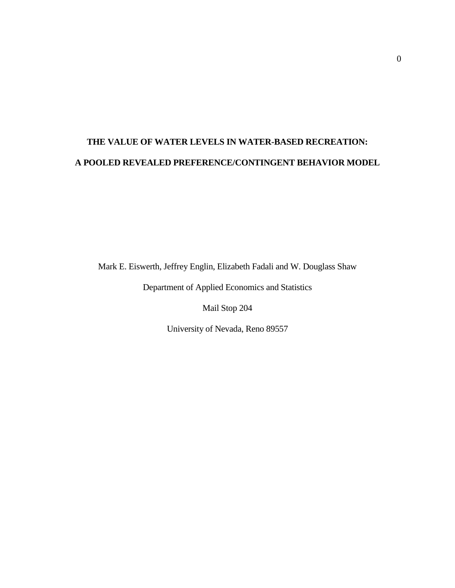# **THE VALUE OF WATER LEVELS IN WATER-BASED RECREATION: A POOLED REVEALED PREFERENCE/CONTINGENT BEHAVIOR MODEL**

Mark E. Eiswerth, Jeffrey Englin, Elizabeth Fadali and W. Douglass Shaw

Department of Applied Economics and Statistics

Mail Stop 204

University of Nevada, Reno 89557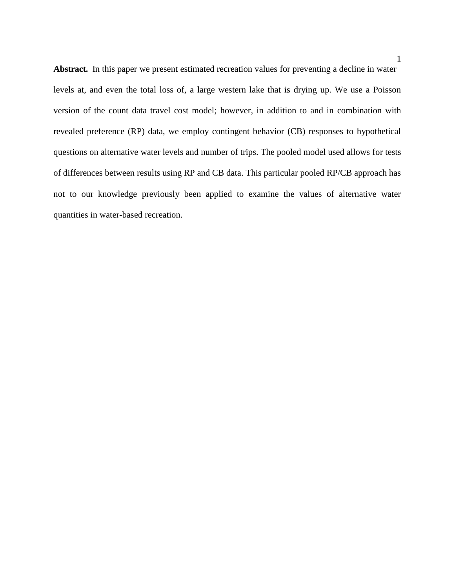**Abstract.** In this paper we present estimated recreation values for preventing a decline in water levels at, and even the total loss of, a large western lake that is drying up. We use a Poisson version of the count data travel cost model; however, in addition to and in combination with revealed preference (RP) data, we employ contingent behavior (CB) responses to hypothetical questions on alternative water levels and number of trips. The pooled model used allows for tests of differences between results using RP and CB data. This particular pooled RP/CB approach has not to our knowledge previously been applied to examine the values of alternative water quantities in water-based recreation.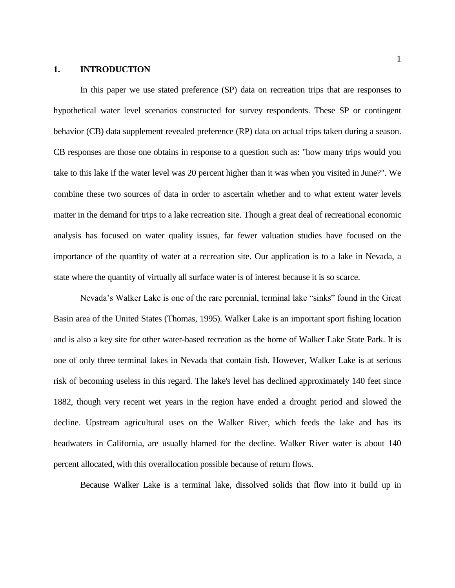## **1. INTRODUCTION**

In this paper we use stated preference (SP) data on recreation trips that are responses to hypothetical water level scenarios constructed for survey respondents. These SP or contingent behavior (CB) data supplement revealed preference (RP) data on actual trips taken during a season. CB responses are those one obtains in response to a question such as: "how many trips would you take to this lake if the water level was 20 percent higher than it was when you visited in June?". We combine these two sources of data in order to ascertain whether and to what extent water levels matter in the demand for trips to a lake recreation site. Though a great deal of recreational economic analysis has focused on water quality issues, far fewer valuation studies have focused on the importance of the quantity of water at a recreation site. Our application is to a lake in Nevada, a state where the quantity of virtually all surface water is of interest because it is so scarce.

Nevada's Walker Lake is one of the rare perennial, terminal lake "sinks" found in the Great Basin area of the United States (Thomas, 1995). Walker Lake is an important sport fishing location and is also a key site for other water-based recreation as the home of Walker Lake State Park. It is one of only three terminal lakes in Nevada that contain fish. However, Walker Lake is at serious risk of becoming useless in this regard. The lake's level has declined approximately 140 feet since 1882, though very recent wet years in the region have ended a drought period and slowed the decline. Upstream agricultural uses on the Walker River, which feeds the lake and has its headwaters in California, are usually blamed for the decline. Walker River water is about 140 percent allocated, with this overallocation possible because of return flows.

Because Walker Lake is a terminal lake, dissolved solids that flow into it build up in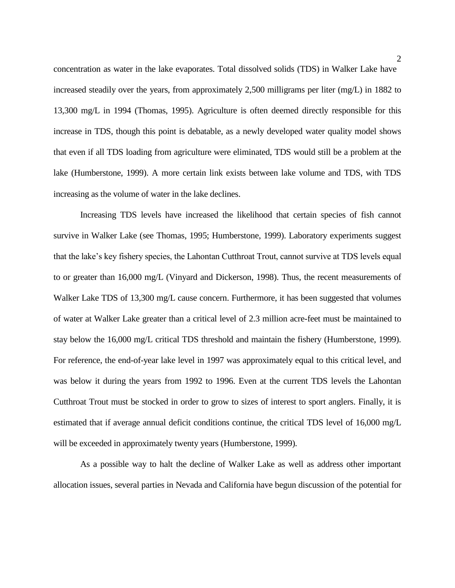concentration as water in the lake evaporates. Total dissolved solids (TDS) in Walker Lake have increased steadily over the years, from approximately 2,500 milligrams per liter (mg/L) in 1882 to 13,300 mg/L in 1994 (Thomas, 1995). Agriculture is often deemed directly responsible for this increase in TDS, though this point is debatable, as a newly developed water quality model shows that even if all TDS loading from agriculture were eliminated, TDS would still be a problem at the lake (Humberstone, 1999). A more certain link exists between lake volume and TDS, with TDS increasing as the volume of water in the lake declines.

Increasing TDS levels have increased the likelihood that certain species of fish cannot survive in Walker Lake (see Thomas, 1995; Humberstone, 1999). Laboratory experiments suggest that the lake's key fishery species, the Lahontan Cutthroat Trout, cannot survive at TDS levels equal to or greater than 16,000 mg/L (Vinyard and Dickerson, 1998). Thus, the recent measurements of Walker Lake TDS of 13,300 mg/L cause concern. Furthermore, it has been suggested that volumes of water at Walker Lake greater than a critical level of 2.3 million acre-feet must be maintained to stay below the 16,000 mg/L critical TDS threshold and maintain the fishery (Humberstone, 1999). For reference, the end-of-year lake level in 1997 was approximately equal to this critical level, and was below it during the years from 1992 to 1996. Even at the current TDS levels the Lahontan Cutthroat Trout must be stocked in order to grow to sizes of interest to sport anglers. Finally, it is estimated that if average annual deficit conditions continue, the critical TDS level of 16,000 mg/L will be exceeded in approximately twenty years (Humberstone, 1999).

As a possible way to halt the decline of Walker Lake as well as address other important allocation issues, several parties in Nevada and California have begun discussion of the potential for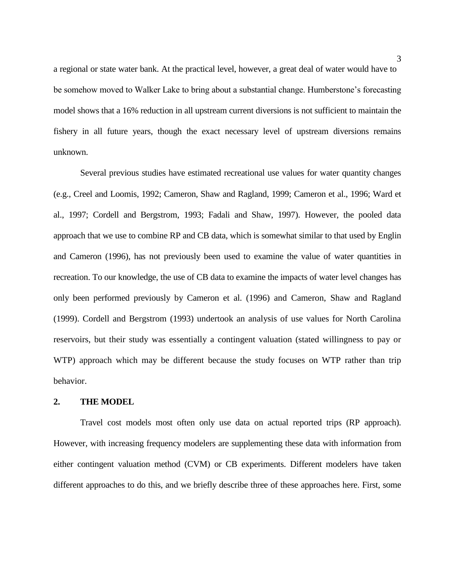a regional or state water bank. At the practical level, however, a great deal of water would have to be somehow moved to Walker Lake to bring about a substantial change. Humberstone's forecasting model shows that a 16% reduction in all upstream current diversions is not sufficient to maintain the fishery in all future years, though the exact necessary level of upstream diversions remains unknown.

Several previous studies have estimated recreational use values for water quantity changes (e.g., Creel and Loomis, 1992; Cameron, Shaw and Ragland, 1999; Cameron et al., 1996; Ward et al., 1997; Cordell and Bergstrom, 1993; Fadali and Shaw, 1997). However, the pooled data approach that we use to combine RP and CB data, which is somewhat similar to that used by Englin and Cameron (1996), has not previously been used to examine the value of water quantities in recreation. To our knowledge, the use of CB data to examine the impacts of water level changes has only been performed previously by Cameron et al. (1996) and Cameron, Shaw and Ragland (1999). Cordell and Bergstrom (1993) undertook an analysis of use values for North Carolina reservoirs, but their study was essentially a contingent valuation (stated willingness to pay or WTP) approach which may be different because the study focuses on WTP rather than trip behavior.

### **2. THE MODEL**

Travel cost models most often only use data on actual reported trips (RP approach). However, with increasing frequency modelers are supplementing these data with information from either contingent valuation method (CVM) or CB experiments. Different modelers have taken different approaches to do this, and we briefly describe three of these approaches here. First, some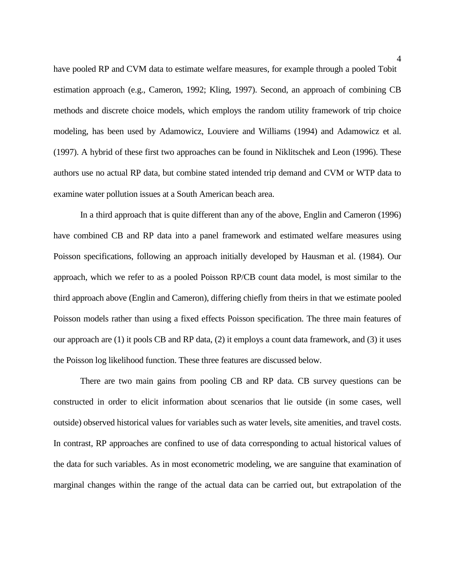have pooled RP and CVM data to estimate welfare measures, for example through a pooled Tobit estimation approach (e.g., Cameron, 1992; Kling, 1997). Second, an approach of combining CB methods and discrete choice models, which employs the random utility framework of trip choice modeling, has been used by Adamowicz, Louviere and Williams (1994) and Adamowicz et al. (1997). A hybrid of these first two approaches can be found in Niklitschek and Leon (1996). These authors use no actual RP data, but combine stated intended trip demand and CVM or WTP data to examine water pollution issues at a South American beach area.

In a third approach that is quite different than any of the above, Englin and Cameron (1996) have combined CB and RP data into a panel framework and estimated welfare measures using Poisson specifications, following an approach initially developed by Hausman et al. (1984). Our approach, which we refer to as a pooled Poisson RP/CB count data model, is most similar to the third approach above (Englin and Cameron), differing chiefly from theirs in that we estimate pooled Poisson models rather than using a fixed effects Poisson specification. The three main features of our approach are (1) it pools CB and RP data, (2) it employs a count data framework, and (3) it uses the Poisson log likelihood function. These three features are discussed below.

There are two main gains from pooling CB and RP data. CB survey questions can be constructed in order to elicit information about scenarios that lie outside (in some cases, well outside) observed historical values for variables such as water levels, site amenities, and travel costs. In contrast, RP approaches are confined to use of data corresponding to actual historical values of the data for such variables. As in most econometric modeling, we are sanguine that examination of marginal changes within the range of the actual data can be carried out, but extrapolation of the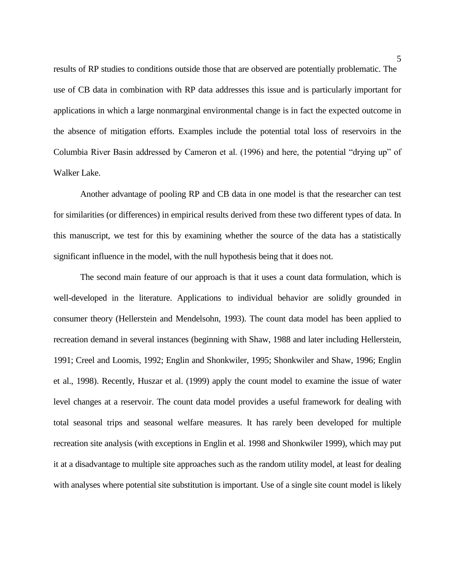results of RP studies to conditions outside those that are observed are potentially problematic. The use of CB data in combination with RP data addresses this issue and is particularly important for applications in which a large nonmarginal environmental change is in fact the expected outcome in the absence of mitigation efforts. Examples include the potential total loss of reservoirs in the Columbia River Basin addressed by Cameron et al. (1996) and here, the potential "drying up" of Walker Lake.

Another advantage of pooling RP and CB data in one model is that the researcher can test for similarities (or differences) in empirical results derived from these two different types of data. In this manuscript, we test for this by examining whether the source of the data has a statistically significant influence in the model, with the null hypothesis being that it does not.

The second main feature of our approach is that it uses a count data formulation, which is well-developed in the literature. Applications to individual behavior are solidly grounded in consumer theory (Hellerstein and Mendelsohn, 1993). The count data model has been applied to recreation demand in several instances (beginning with Shaw, 1988 and later including Hellerstein, 1991; Creel and Loomis, 1992; Englin and Shonkwiler, 1995; Shonkwiler and Shaw, 1996; Englin et al., 1998). Recently, Huszar et al. (1999) apply the count model to examine the issue of water level changes at a reservoir. The count data model provides a useful framework for dealing with total seasonal trips and seasonal welfare measures. It has rarely been developed for multiple recreation site analysis (with exceptions in Englin et al. 1998 and Shonkwiler 1999), which may put it at a disadvantage to multiple site approaches such as the random utility model, at least for dealing with analyses where potential site substitution is important. Use of a single site count model is likely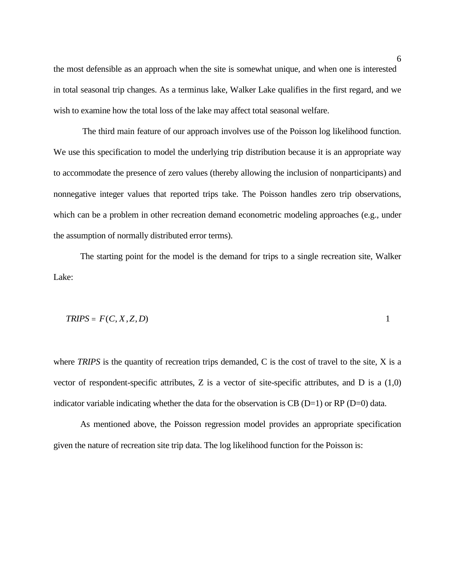the most defensible as an approach when the site is somewhat unique, and when one is interested in total seasonal trip changes. As a terminus lake, Walker Lake qualifies in the first regard, and we wish to examine how the total loss of the lake may affect total seasonal welfare.

The third main feature of our approach involves use of the Poisson log likelihood function. We use this specification to model the underlying trip distribution because it is an appropriate way to accommodate the presence of zero values (thereby allowing the inclusion of nonparticipants) and nonnegative integer values that reported trips take. The Poisson handles zero trip observations, which can be a problem in other recreation demand econometric modeling approaches (e.g., under the assumption of normally distributed error terms).

The starting point for the model is the demand for trips to a single recreation site, Walker Lake:

$$
TRIPS = F(C, X, Z, D) \tag{1}
$$

where *TRIPS* is the quantity of recreation trips demanded, C is the cost of travel to the site, X is a vector of respondent-specific attributes, Z is a vector of site-specific attributes, and D is a (1,0) indicator variable indicating whether the data for the observation is CB (D=1) or RP (D=0) data.

As mentioned above, the Poisson regression model provides an appropriate specification given the nature of recreation site trip data. The log likelihood function for the Poisson is: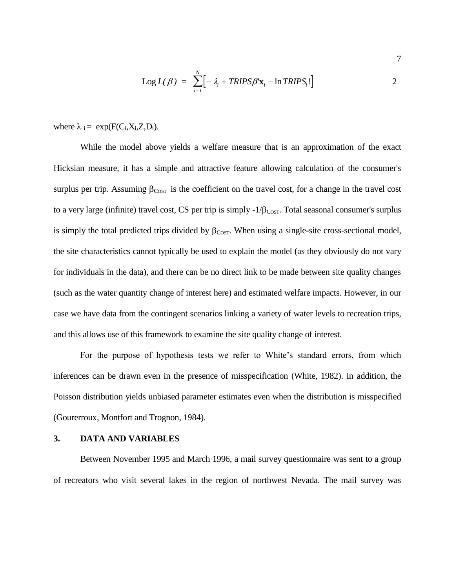$$
Log L(\beta) = \sum_{i=1}^{N} \left[ -\lambda_i + TRIPS\beta' \mathbf{x}_i - \ln TRIPS_i! \right]
$$
 2

where  $\lambda_i = \exp(F(C_i, X_i, Z_i, D_i)).$ 

While the model above yields a welfare measure that is an approximation of the exact Hicksian measure, it has a simple and attractive feature allowing calculation of the consumer's surplus per trip. Assuming  $\beta_{\text{COST}}$  is the coefficient on the travel cost, for a change in the travel cost to a very large (infinite) travel cost, CS per trip is simply  $-1/\beta_{\text{COST}}$ . Total seasonal consumer's surplus is simply the total predicted trips divided by  $\beta_{\text{CoST}}$ . When using a single-site cross-sectional model, the site characteristics cannot typically be used to explain the model (as they obviously do not vary for individuals in the data), and there can be no direct link to be made between site quality changes (such as the water quantity change of interest here) and estimated welfare impacts. However, in our case we have data from the contingent scenarios linking a variety of water levels to recreation trips, and this allows use of this framework to examine the site quality change of interest.

For the purpose of hypothesis tests we refer to White's standard errors, from which inferences can be drawn even in the presence of misspecification (White, 1982). In addition, the Poisson distribution yields unbiased parameter estimates even when the distribution is misspecified (Gourerroux, Montfort and Trognon, 1984).

# **3. DATA AND VARIABLES**

Between November 1995 and March 1996, a mail survey questionnaire was sent to a group of recreators who visit several lakes in the region of northwest Nevada. The mail survey was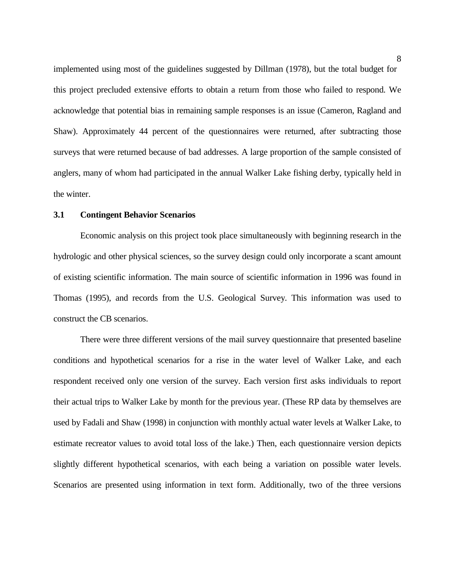implemented using most of the guidelines suggested by Dillman (1978), but the total budget for this project precluded extensive efforts to obtain a return from those who failed to respond. We acknowledge that potential bias in remaining sample responses is an issue (Cameron, Ragland and Shaw). Approximately 44 percent of the questionnaires were returned, after subtracting those surveys that were returned because of bad addresses. A large proportion of the sample consisted of anglers, many of whom had participated in the annual Walker Lake fishing derby, typically held in the winter.

#### **3.1 Contingent Behavior Scenarios**

Economic analysis on this project took place simultaneously with beginning research in the hydrologic and other physical sciences, so the survey design could only incorporate a scant amount of existing scientific information. The main source of scientific information in 1996 was found in Thomas (1995), and records from the U.S. Geological Survey. This information was used to construct the CB scenarios.

There were three different versions of the mail survey questionnaire that presented baseline conditions and hypothetical scenarios for a rise in the water level of Walker Lake, and each respondent received only one version of the survey. Each version first asks individuals to report their actual trips to Walker Lake by month for the previous year. (These RP data by themselves are used by Fadali and Shaw (1998) in conjunction with monthly actual water levels at Walker Lake, to estimate recreator values to avoid total loss of the lake.) Then, each questionnaire version depicts slightly different hypothetical scenarios, with each being a variation on possible water levels. Scenarios are presented using information in text form. Additionally, two of the three versions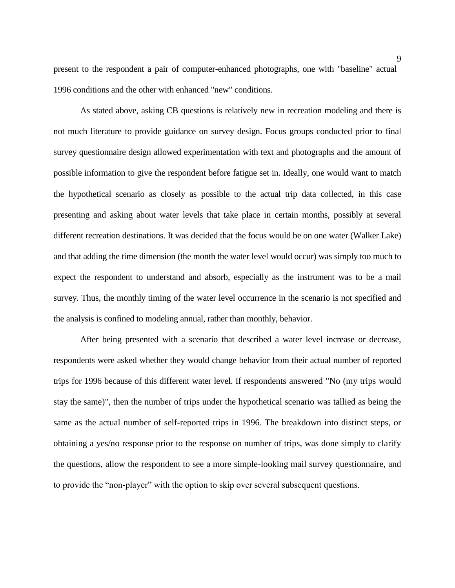present to the respondent a pair of computer-enhanced photographs, one with "baseline" actual 1996 conditions and the other with enhanced "new" conditions.

As stated above, asking CB questions is relatively new in recreation modeling and there is not much literature to provide guidance on survey design. Focus groups conducted prior to final survey questionnaire design allowed experimentation with text and photographs and the amount of possible information to give the respondent before fatigue set in. Ideally, one would want to match the hypothetical scenario as closely as possible to the actual trip data collected, in this case presenting and asking about water levels that take place in certain months, possibly at several different recreation destinations. It was decided that the focus would be on one water (Walker Lake) and that adding the time dimension (the month the water level would occur) was simply too much to expect the respondent to understand and absorb, especially as the instrument was to be a mail survey. Thus, the monthly timing of the water level occurrence in the scenario is not specified and the analysis is confined to modeling annual, rather than monthly, behavior.

After being presented with a scenario that described a water level increase or decrease, respondents were asked whether they would change behavior from their actual number of reported trips for 1996 because of this different water level. If respondents answered "No (my trips would stay the same)", then the number of trips under the hypothetical scenario was tallied as being the same as the actual number of self-reported trips in 1996. The breakdown into distinct steps, or obtaining a yes/no response prior to the response on number of trips, was done simply to clarify the questions, allow the respondent to see a more simple-looking mail survey questionnaire, and to provide the "non-player" with the option to skip over several subsequent questions.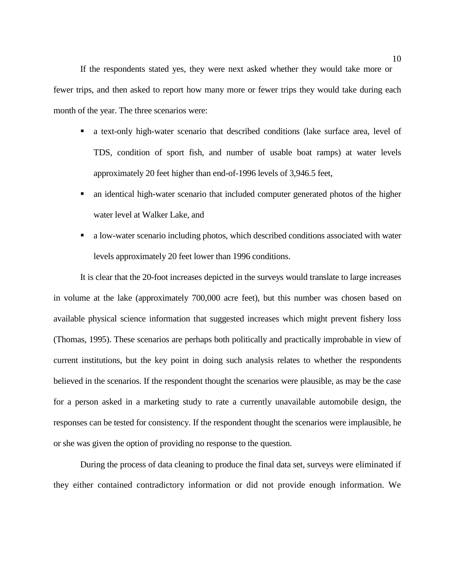If the respondents stated yes, they were next asked whether they would take more or fewer trips, and then asked to report how many more or fewer trips they would take during each month of the year. The three scenarios were:

- a text-only high-water scenario that described conditions (lake surface area, level of TDS, condition of sport fish, and number of usable boat ramps) at water levels approximately 20 feet higher than end-of-1996 levels of 3,946.5 feet,
- an identical high-water scenario that included computer generated photos of the higher water level at Walker Lake, and
- a low-water scenario including photos, which described conditions associated with water levels approximately 20 feet lower than 1996 conditions.

It is clear that the 20-foot increases depicted in the surveys would translate to large increases in volume at the lake (approximately 700,000 acre feet), but this number was chosen based on available physical science information that suggested increases which might prevent fishery loss (Thomas, 1995). These scenarios are perhaps both politically and practically improbable in view of current institutions, but the key point in doing such analysis relates to whether the respondents believed in the scenarios. If the respondent thought the scenarios were plausible, as may be the case for a person asked in a marketing study to rate a currently unavailable automobile design, the responses can be tested for consistency. If the respondent thought the scenarios were implausible, he or she was given the option of providing no response to the question.

During the process of data cleaning to produce the final data set, surveys were eliminated if they either contained contradictory information or did not provide enough information. We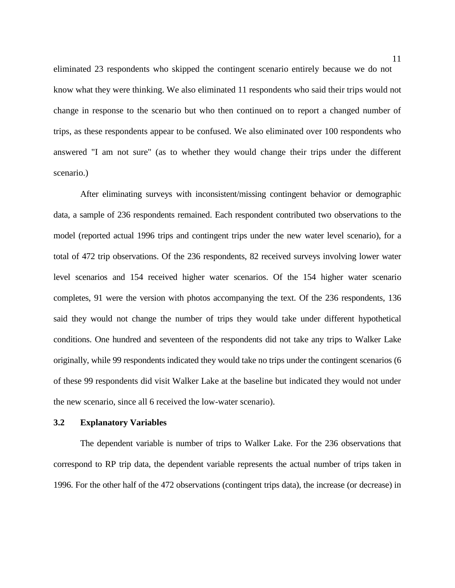eliminated 23 respondents who skipped the contingent scenario entirely because we do not know what they were thinking. We also eliminated 11 respondents who said their trips would not change in response to the scenario but who then continued on to report a changed number of trips, as these respondents appear to be confused. We also eliminated over 100 respondents who answered "I am not sure" (as to whether they would change their trips under the different scenario.)

After eliminating surveys with inconsistent/missing contingent behavior or demographic data, a sample of 236 respondents remained. Each respondent contributed two observations to the model (reported actual 1996 trips and contingent trips under the new water level scenario), for a total of 472 trip observations. Of the 236 respondents, 82 received surveys involving lower water level scenarios and 154 received higher water scenarios. Of the 154 higher water scenario completes, 91 were the version with photos accompanying the text. Of the 236 respondents, 136 said they would not change the number of trips they would take under different hypothetical conditions. One hundred and seventeen of the respondents did not take any trips to Walker Lake originally, while 99 respondents indicated they would take no trips under the contingent scenarios (6 of these 99 respondents did visit Walker Lake at the baseline but indicated they would not under the new scenario, since all 6 received the low-water scenario).

### **3.2 Explanatory Variables**

The dependent variable is number of trips to Walker Lake. For the 236 observations that correspond to RP trip data, the dependent variable represents the actual number of trips taken in 1996. For the other half of the 472 observations (contingent trips data), the increase (or decrease) in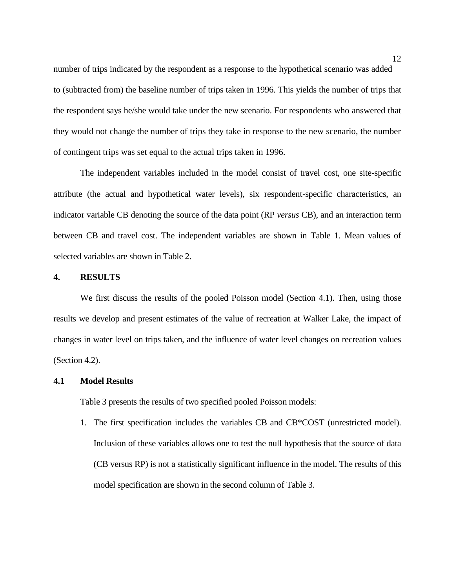number of trips indicated by the respondent as a response to the hypothetical scenario was added to (subtracted from) the baseline number of trips taken in 1996. This yields the number of trips that the respondent says he/she would take under the new scenario. For respondents who answered that they would not change the number of trips they take in response to the new scenario, the number of contingent trips was set equal to the actual trips taken in 1996.

The independent variables included in the model consist of travel cost, one site-specific attribute (the actual and hypothetical water levels), six respondent-specific characteristics, an indicator variable CB denoting the source of the data point (RP *versus* CB), and an interaction term between CB and travel cost. The independent variables are shown in Table 1. Mean values of selected variables are shown in Table 2.

#### **4. RESULTS**

We first discuss the results of the pooled Poisson model (Section 4.1). Then, using those results we develop and present estimates of the value of recreation at Walker Lake, the impact of changes in water level on trips taken, and the influence of water level changes on recreation values (Section 4.2).

#### **4.1 Model Results**

Table 3 presents the results of two specified pooled Poisson models:

1. The first specification includes the variables CB and CB\*COST (unrestricted model). Inclusion of these variables allows one to test the null hypothesis that the source of data (CB versus RP) is not a statistically significant influence in the model. The results of this model specification are shown in the second column of Table 3.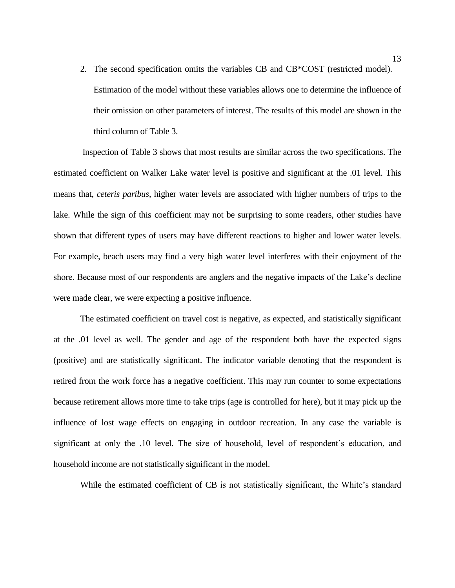2. The second specification omits the variables CB and CB\*COST (restricted model). Estimation of the model without these variables allows one to determine the influence of their omission on other parameters of interest. The results of this model are shown in the third column of Table 3.

Inspection of Table 3 shows that most results are similar across the two specifications. The estimated coefficient on Walker Lake water level is positive and significant at the .01 level. This means that, *ceteris paribus*, higher water levels are associated with higher numbers of trips to the lake. While the sign of this coefficient may not be surprising to some readers, other studies have shown that different types of users may have different reactions to higher and lower water levels. For example, beach users may find a very high water level interferes with their enjoyment of the shore. Because most of our respondents are anglers and the negative impacts of the Lake's decline were made clear, we were expecting a positive influence.

The estimated coefficient on travel cost is negative, as expected, and statistically significant at the .01 level as well. The gender and age of the respondent both have the expected signs (positive) and are statistically significant. The indicator variable denoting that the respondent is retired from the work force has a negative coefficient. This may run counter to some expectations because retirement allows more time to take trips (age is controlled for here), but it may pick up the influence of lost wage effects on engaging in outdoor recreation. In any case the variable is significant at only the .10 level. The size of household, level of respondent's education, and household income are not statistically significant in the model.

While the estimated coefficient of CB is not statistically significant, the White's standard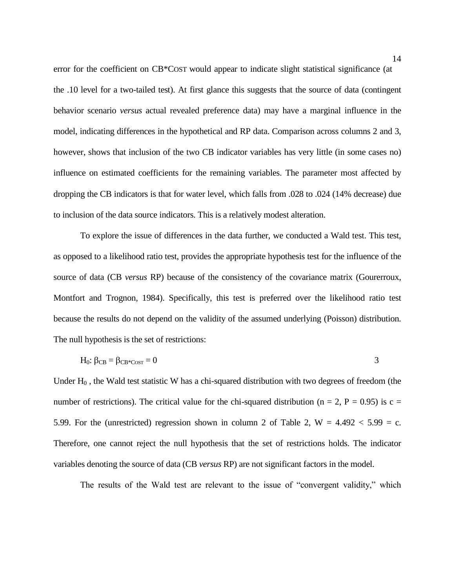error for the coefficient on CB\*COST would appear to indicate slight statistical significance (at the .10 level for a two-tailed test). At first glance this suggests that the source of data (contingent behavior scenario *versus* actual revealed preference data) may have a marginal influence in the model, indicating differences in the hypothetical and RP data. Comparison across columns 2 and 3, however, shows that inclusion of the two CB indicator variables has very little (in some cases no) influence on estimated coefficients for the remaining variables. The parameter most affected by dropping the CB indicators is that for water level, which falls from .028 to .024 (14% decrease) due to inclusion of the data source indicators. This is a relatively modest alteration.

To explore the issue of differences in the data further, we conducted a Wald test. This test, as opposed to a likelihood ratio test, provides the appropriate hypothesis test for the influence of the source of data (CB *versus* RP) because of the consistency of the covariance matrix (Gourerroux, Montfort and Trognon, 1984). Specifically, this test is preferred over the likelihood ratio test because the results do not depend on the validity of the assumed underlying (Poisson) distribution. The null hypothesis is the set of restrictions:

$$
H_0: \beta_{CB} = \beta_{CB^*COST} = 0
$$

Under  $H_0$ , the Wald test statistic W has a chi-squared distribution with two degrees of freedom (the number of restrictions). The critical value for the chi-squared distribution ( $n = 2$ ,  $P = 0.95$ ) is c = 5.99. For the (unrestricted) regression shown in column 2 of Table 2,  $W = 4.492 < 5.99 = c$ . Therefore, one cannot reject the null hypothesis that the set of restrictions holds. The indicator variables denoting the source of data (CB *versus* RP) are not significant factors in the model.

The results of the Wald test are relevant to the issue of "convergent validity," which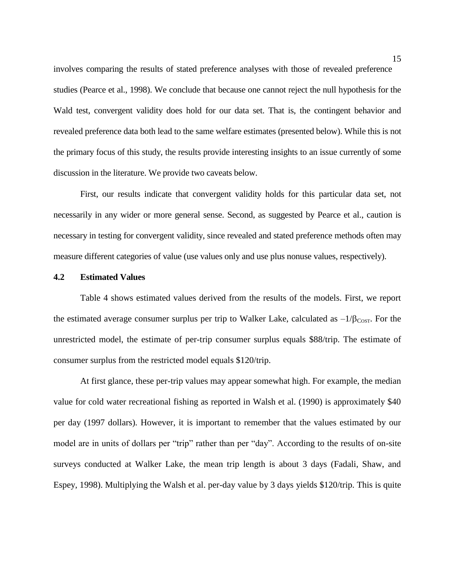involves comparing the results of stated preference analyses with those of revealed preference studies (Pearce et al., 1998). We conclude that because one cannot reject the null hypothesis for the Wald test, convergent validity does hold for our data set. That is, the contingent behavior and revealed preference data both lead to the same welfare estimates (presented below). While this is not the primary focus of this study, the results provide interesting insights to an issue currently of some discussion in the literature. We provide two caveats below.

First, our results indicate that convergent validity holds for this particular data set, not necessarily in any wider or more general sense. Second, as suggested by Pearce et al., caution is necessary in testing for convergent validity, since revealed and stated preference methods often may measure different categories of value (use values only and use plus nonuse values, respectively).

#### **4.2 Estimated Values**

Table 4 shows estimated values derived from the results of the models. First, we report the estimated average consumer surplus per trip to Walker Lake, calculated as  $-1/\beta_{\text{CoST}}$ . For the unrestricted model, the estimate of per-trip consumer surplus equals \$88/trip. The estimate of consumer surplus from the restricted model equals \$120/trip.

At first glance, these per-trip values may appear somewhat high. For example, the median value for cold water recreational fishing as reported in Walsh et al. (1990) is approximately \$40 per day (1997 dollars). However, it is important to remember that the values estimated by our model are in units of dollars per "trip" rather than per "day". According to the results of on-site surveys conducted at Walker Lake, the mean trip length is about 3 days (Fadali, Shaw, and Espey, 1998). Multiplying the Walsh et al. per-day value by 3 days yields \$120/trip. This is quite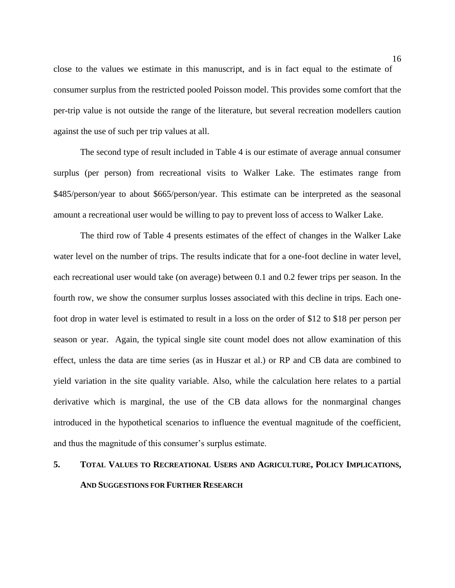close to the values we estimate in this manuscript, and is in fact equal to the estimate of consumer surplus from the restricted pooled Poisson model. This provides some comfort that the per-trip value is not outside the range of the literature, but several recreation modellers caution against the use of such per trip values at all.

The second type of result included in Table 4 is our estimate of average annual consumer surplus (per person) from recreational visits to Walker Lake. The estimates range from \$485/person/year to about \$665/person/year. This estimate can be interpreted as the seasonal amount a recreational user would be willing to pay to prevent loss of access to Walker Lake.

The third row of Table 4 presents estimates of the effect of changes in the Walker Lake water level on the number of trips. The results indicate that for a one-foot decline in water level, each recreational user would take (on average) between 0.1 and 0.2 fewer trips per season. In the fourth row, we show the consumer surplus losses associated with this decline in trips. Each onefoot drop in water level is estimated to result in a loss on the order of \$12 to \$18 per person per season or year. Again, the typical single site count model does not allow examination of this effect, unless the data are time series (as in Huszar et al.) or RP and CB data are combined to yield variation in the site quality variable. Also, while the calculation here relates to a partial derivative which is marginal, the use of the CB data allows for the nonmarginal changes introduced in the hypothetical scenarios to influence the eventual magnitude of the coefficient, and thus the magnitude of this consumer's surplus estimate.

# **5. TOTAL VALUES TO RECREATIONAL USERS AND AGRICULTURE, POLICY IMPLICATIONS, AND SUGGESTIONS FOR FURTHER RESEARCH**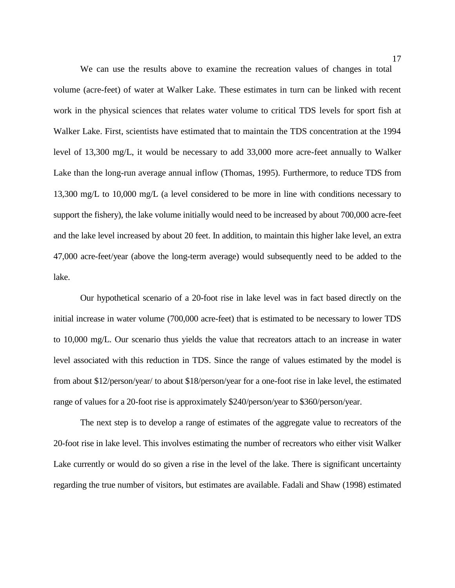We can use the results above to examine the recreation values of changes in total volume (acre-feet) of water at Walker Lake. These estimates in turn can be linked with recent work in the physical sciences that relates water volume to critical TDS levels for sport fish at Walker Lake. First, scientists have estimated that to maintain the TDS concentration at the 1994 level of 13,300 mg/L, it would be necessary to add 33,000 more acre-feet annually to Walker Lake than the long-run average annual inflow (Thomas, 1995). Furthermore, to reduce TDS from 13,300 mg/L to 10,000 mg/L (a level considered to be more in line with conditions necessary to support the fishery), the lake volume initially would need to be increased by about 700,000 acre-feet and the lake level increased by about 20 feet. In addition, to maintain this higher lake level, an extra 47,000 acre-feet/year (above the long-term average) would subsequently need to be added to the lake.

Our hypothetical scenario of a 20-foot rise in lake level was in fact based directly on the initial increase in water volume (700,000 acre-feet) that is estimated to be necessary to lower TDS to 10,000 mg/L. Our scenario thus yields the value that recreators attach to an increase in water level associated with this reduction in TDS. Since the range of values estimated by the model is from about \$12/person/year/ to about \$18/person/year for a one-foot rise in lake level, the estimated range of values for a 20-foot rise is approximately \$240/person/year to \$360/person/year.

The next step is to develop a range of estimates of the aggregate value to recreators of the 20-foot rise in lake level. This involves estimating the number of recreators who either visit Walker Lake currently or would do so given a rise in the level of the lake. There is significant uncertainty regarding the true number of visitors, but estimates are available. Fadali and Shaw (1998) estimated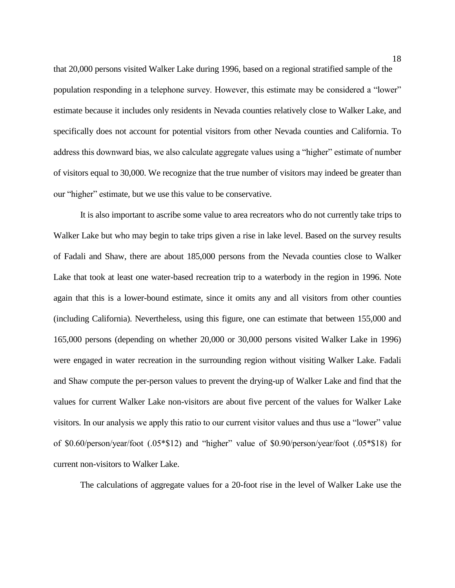that 20,000 persons visited Walker Lake during 1996, based on a regional stratified sample of the population responding in a telephone survey. However, this estimate may be considered a "lower" estimate because it includes only residents in Nevada counties relatively close to Walker Lake, and specifically does not account for potential visitors from other Nevada counties and California. To address this downward bias, we also calculate aggregate values using a "higher" estimate of number of visitors equal to 30,000. We recognize that the true number of visitors may indeed be greater than our "higher" estimate, but we use this value to be conservative.

It is also important to ascribe some value to area recreators who do not currently take trips to Walker Lake but who may begin to take trips given a rise in lake level. Based on the survey results of Fadali and Shaw, there are about 185,000 persons from the Nevada counties close to Walker Lake that took at least one water-based recreation trip to a waterbody in the region in 1996. Note again that this is a lower-bound estimate, since it omits any and all visitors from other counties (including California). Nevertheless, using this figure, one can estimate that between 155,000 and 165,000 persons (depending on whether 20,000 or 30,000 persons visited Walker Lake in 1996) were engaged in water recreation in the surrounding region without visiting Walker Lake. Fadali and Shaw compute the per-person values to prevent the drying-up of Walker Lake and find that the values for current Walker Lake non-visitors are about five percent of the values for Walker Lake visitors. In our analysis we apply this ratio to our current visitor values and thus use a "lower" value of \$0.60/person/year/foot (.05\*\$12) and "higher" value of \$0.90/person/year/foot (.05\*\$18) for current non-visitors to Walker Lake.

The calculations of aggregate values for a 20-foot rise in the level of Walker Lake use the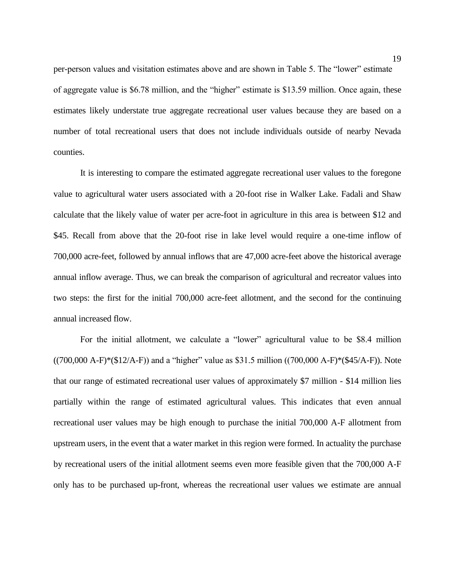per-person values and visitation estimates above and are shown in Table 5. The "lower" estimate of aggregate value is \$6.78 million, and the "higher" estimate is \$13.59 million. Once again, these estimates likely understate true aggregate recreational user values because they are based on a number of total recreational users that does not include individuals outside of nearby Nevada counties.

It is interesting to compare the estimated aggregate recreational user values to the foregone value to agricultural water users associated with a 20-foot rise in Walker Lake. Fadali and Shaw calculate that the likely value of water per acre-foot in agriculture in this area is between \$12 and \$45. Recall from above that the 20-foot rise in lake level would require a one-time inflow of 700,000 acre-feet, followed by annual inflows that are 47,000 acre-feet above the historical average annual inflow average. Thus, we can break the comparison of agricultural and recreator values into two steps: the first for the initial 700,000 acre-feet allotment, and the second for the continuing annual increased flow.

For the initial allotment, we calculate a "lower" agricultural value to be \$8.4 million  $((700,000 \text{ A}-\text{F})*(12/\text{A}-\text{F}))$  and a "higher" value as \$31.5 million  $((700,000 \text{ A}-\text{F})*(12/\text{A}-\text{F}))$ . Note that our range of estimated recreational user values of approximately \$7 million - \$14 million lies partially within the range of estimated agricultural values. This indicates that even annual recreational user values may be high enough to purchase the initial 700,000 A-F allotment from upstream users, in the event that a water market in this region were formed. In actuality the purchase by recreational users of the initial allotment seems even more feasible given that the 700,000 A-F only has to be purchased up-front, whereas the recreational user values we estimate are annual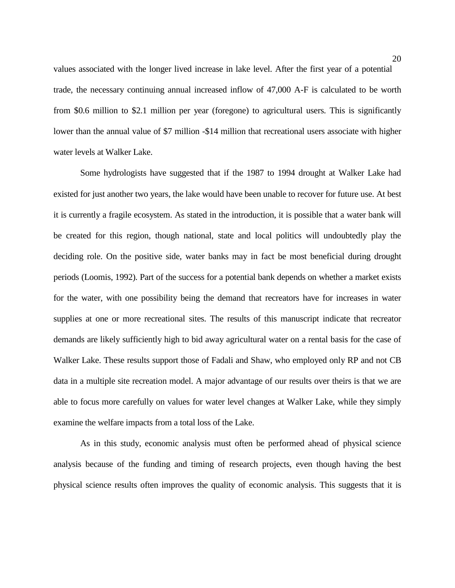values associated with the longer lived increase in lake level. After the first year of a potential trade, the necessary continuing annual increased inflow of 47,000 A-F is calculated to be worth from \$0.6 million to \$2.1 million per year (foregone) to agricultural users. This is significantly lower than the annual value of \$7 million -\$14 million that recreational users associate with higher water levels at Walker Lake.

Some hydrologists have suggested that if the 1987 to 1994 drought at Walker Lake had existed for just another two years, the lake would have been unable to recover for future use. At best it is currently a fragile ecosystem. As stated in the introduction, it is possible that a water bank will be created for this region, though national, state and local politics will undoubtedly play the deciding role. On the positive side, water banks may in fact be most beneficial during drought periods (Loomis, 1992). Part of the success for a potential bank depends on whether a market exists for the water, with one possibility being the demand that recreators have for increases in water supplies at one or more recreational sites. The results of this manuscript indicate that recreator demands are likely sufficiently high to bid away agricultural water on a rental basis for the case of Walker Lake. These results support those of Fadali and Shaw, who employed only RP and not CB data in a multiple site recreation model. A major advantage of our results over theirs is that we are able to focus more carefully on values for water level changes at Walker Lake, while they simply examine the welfare impacts from a total loss of the Lake.

As in this study, economic analysis must often be performed ahead of physical science analysis because of the funding and timing of research projects, even though having the best physical science results often improves the quality of economic analysis. This suggests that it is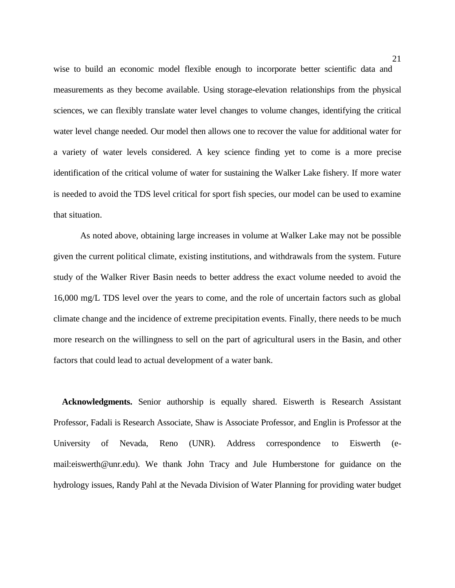wise to build an economic model flexible enough to incorporate better scientific data and measurements as they become available. Using storage-elevation relationships from the physical sciences, we can flexibly translate water level changes to volume changes, identifying the critical water level change needed. Our model then allows one to recover the value for additional water for a variety of water levels considered. A key science finding yet to come is a more precise identification of the critical volume of water for sustaining the Walker Lake fishery. If more water is needed to avoid the TDS level critical for sport fish species, our model can be used to examine that situation.

As noted above, obtaining large increases in volume at Walker Lake may not be possible given the current political climate, existing institutions, and withdrawals from the system. Future study of the Walker River Basin needs to better address the exact volume needed to avoid the 16,000 mg/L TDS level over the years to come, and the role of uncertain factors such as global climate change and the incidence of extreme precipitation events. Finally, there needs to be much more research on the willingness to sell on the part of agricultural users in the Basin, and other factors that could lead to actual development of a water bank.

 **Acknowledgments.** Senior authorship is equally shared. Eiswerth is Research Assistant Professor, Fadali is Research Associate, Shaw is Associate Professor, and Englin is Professor at the University of Nevada, Reno (UNR). Address correspondence to Eiswerth (email:eiswerth@unr.edu). We thank John Tracy and Jule Humberstone for guidance on the hydrology issues, Randy Pahl at the Nevada Division of Water Planning for providing water budget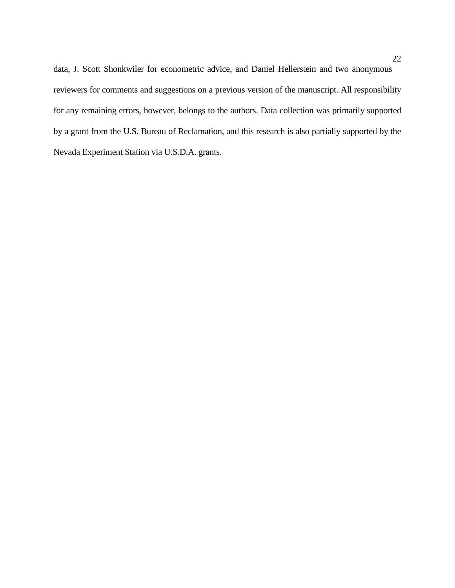data, J. Scott Shonkwiler for econometric advice, and Daniel Hellerstein and two anonymous reviewers for comments and suggestions on a previous version of the manuscript. All responsibility for any remaining errors, however, belongs to the authors. Data collection was primarily supported by a grant from the U.S. Bureau of Reclamation, and this research is also partially supported by the Nevada Experiment Station via U.S.D.A. grants.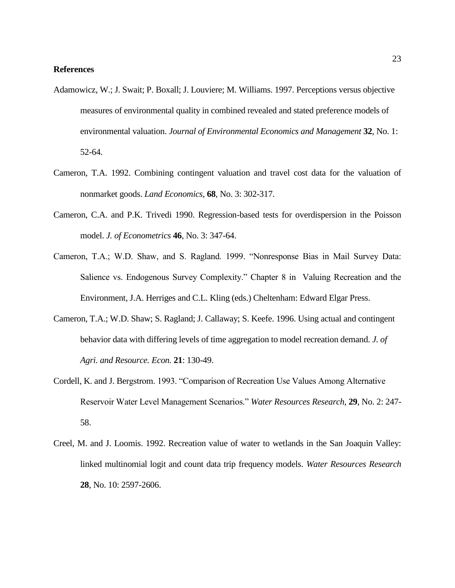## **References**

- Adamowicz, W.; J. Swait; P. Boxall; J. Louviere; M. Williams. 1997. Perceptions versus objective measures of environmental quality in combined revealed and stated preference models of environmental valuation. *Journal of Environmental Economics and Management* **32**, No. 1: 52-64.
- Cameron, T.A. 1992. Combining contingent valuation and travel cost data for the valuation of nonmarket goods. *Land Economics*, **68**, No. 3: 302-317.
- Cameron, C.A. and P.K. Trivedi 1990. Regression-based tests for overdispersion in the Poisson model. *J. of Econometrics* **46**, No. 3: 347-64.
- Cameron, T.A.; W.D. Shaw, and S. Ragland. 1999. "Nonresponse Bias in Mail Survey Data: Salience vs. Endogenous Survey Complexity." Chapter 8 in Valuing Recreation and the Environment, J.A. Herriges and C.L. Kling (eds.) Cheltenham: Edward Elgar Press.
- Cameron, T.A.; W.D. Shaw; S. Ragland; J. Callaway; S. Keefe. 1996. Using actual and contingent behavior data with differing levels of time aggregation to model recreation demand. *J. of Agri. and Resource. Econ.* **21**: 130-49.
- Cordell, K. and J. Bergstrom. 1993. "Comparison of Recreation Use Values Among Alternative Reservoir Water Level Management Scenarios." *Water Resources Research*, **29**, No. 2: 247- 58.
- Creel, M. and J. Loomis. 1992. Recreation value of water to wetlands in the San Joaquin Valley: linked multinomial logit and count data trip frequency models. *Water Resources Research* **28**, No. 10: 2597-2606.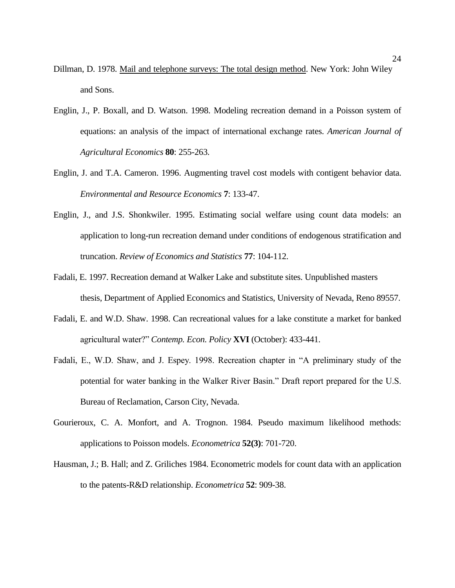- Dillman, D. 1978. Mail and telephone surveys: The total design method. New York: John Wiley and Sons.
- Englin, J., P. Boxall, and D. Watson. 1998. Modeling recreation demand in a Poisson system of equations: an analysis of the impact of international exchange rates*. American Journal of Agricultural Economics* **80**: 255-263.
- Englin, J. and T.A. Cameron. 1996. Augmenting travel cost models with contigent behavior data. *Environmental and Resource Economics* **7**: 133-47.
- Englin, J., and J.S. Shonkwiler. 1995. Estimating social welfare using count data models: an application to long-run recreation demand under conditions of endogenous stratification and truncation. *Review of Economics and Statistics* **77**: 104-112.
- Fadali, E. 1997. Recreation demand at Walker Lake and substitute sites. Unpublished masters thesis, Department of Applied Economics and Statistics, University of Nevada, Reno 89557.
- Fadali, E. and W.D. Shaw. 1998. Can recreational values for a lake constitute a market for banked agricultural water?" *Contemp. Econ. Policy* **XVI** (October): 433-441.
- Fadali, E., W.D. Shaw, and J. Espey. 1998. Recreation chapter in "A preliminary study of the potential for water banking in the Walker River Basin." Draft report prepared for the U.S. Bureau of Reclamation, Carson City, Nevada.
- Gourieroux, C. A. Monfort, and A. Trognon. 1984. Pseudo maximum likelihood methods: applications to Poisson models. *Econometrica* **52(3)**: 701-720.
- Hausman, J.; B. Hall; and Z. Griliches 1984. Econometric models for count data with an application to the patents-R&D relationship. *Econometrica* **52**: 909-38.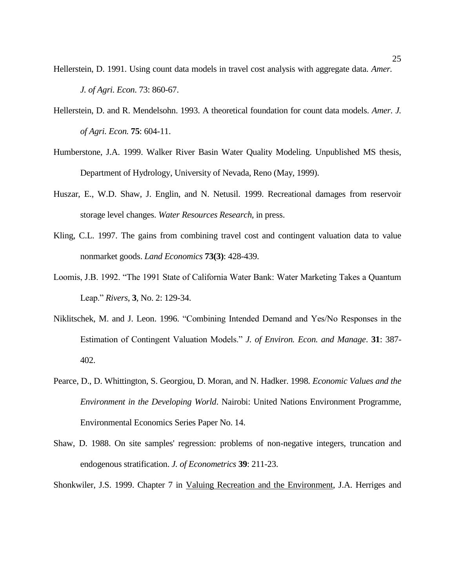- Hellerstein, D. 1991. Using count data models in travel cost analysis with aggregate data*. Amer. J. of Agri. Econ*. 73: 860-67.
- Hellerstein, D. and R. Mendelsohn. 1993. A theoretical foundation for count data models. *Amer. J. of Agri. Econ.* **75**: 604-11.
- Humberstone, J.A. 1999. Walker River Basin Water Quality Modeling. Unpublished MS thesis, Department of Hydrology, University of Nevada, Reno (May, 1999).
- Huszar, E., W.D. Shaw, J. Englin, and N. Netusil. 1999. Recreational damages from reservoir storage level changes. *Water Resources Research,* in press.
- Kling, C.L. 1997. The gains from combining travel cost and contingent valuation data to value nonmarket goods. *Land Economics* **73(3)**: 428-439.
- Loomis, J.B. 1992. "The 1991 State of California Water Bank: Water Marketing Takes a Quantum Leap." *Rivers*, **3**, No. 2: 129-34.
- Niklitschek, M. and J. Leon. 1996. "Combining Intended Demand and Yes/No Responses in the Estimation of Contingent Valuation Models." *J. of Environ. Econ. and Manage*. **31**: 387- 402.
- Pearce, D., D. Whittington, S. Georgiou, D. Moran, and N. Hadker. 1998*. Economic Values and the Environment in the Developing World*. Nairobi: United Nations Environment Programme, Environmental Economics Series Paper No. 14.
- Shaw, D. 1988. On site samples' regression: problems of non-negative integers, truncation and endogenous stratification. *J. of Econometrics* **39**: 211-23.
- Shonkwiler, J.S. 1999. Chapter 7 in Valuing Recreation and the Environment, J.A. Herriges and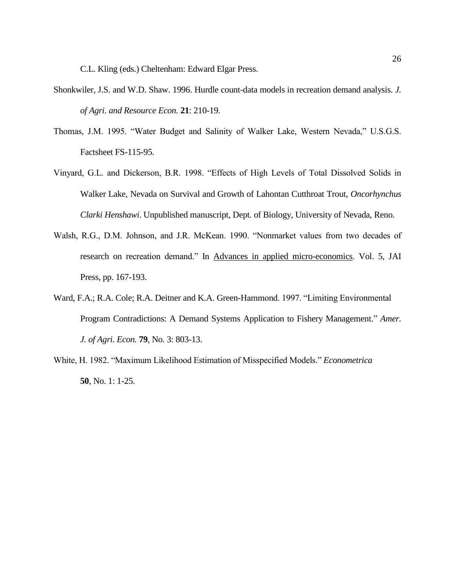C.L. Kling (eds.) Cheltenham: Edward Elgar Press.

- Shonkwiler, J.S. and W.D. Shaw. 1996. Hurdle count-data models in recreation demand analysis. *J. of Agri. and Resource Econ.* **21**: 210-19.
- Thomas, J.M. 1995. "Water Budget and Salinity of Walker Lake, Western Nevada," U.S.G.S. Factsheet FS-115-95.
- Vinyard, G.L. and Dickerson, B.R. 1998. "Effects of High Levels of Total Dissolved Solids in Walker Lake, Nevada on Survival and Growth of Lahontan Cutthroat Trout, *Oncorhynchus Clarki Henshawi*. Unpublished manuscript, Dept. of Biology, University of Nevada, Reno.
- Walsh, R.G., D.M. Johnson, and J.R. McKean. 1990. "Nonmarket values from two decades of research on recreation demand." In Advances in applied micro-economics. Vol. 5, JAI Press, pp. 167-193.
- Ward, F.A.; R.A. Cole; R.A. Deitner and K.A. Green-Hammond. 1997. "Limiting Environmental Program Contradictions: A Demand Systems Application to Fishery Management." *Amer. J. of Agri. Econ.* **79**, No. 3: 803-13.
- White, H. 1982. "Maximum Likelihood Estimation of Misspecified Models." *Econometrica* **50**, No. 1: 1-25.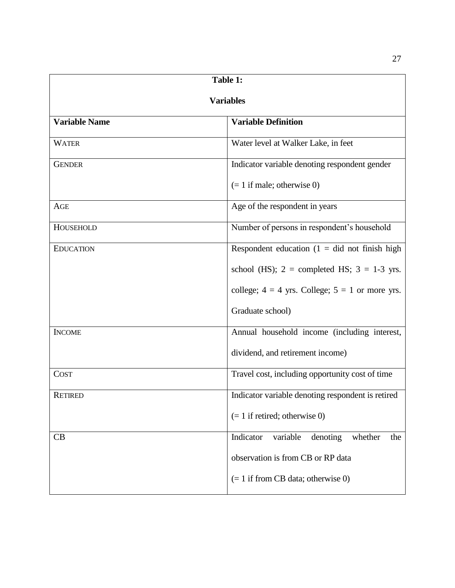| Table 1:             |                                                     |  |
|----------------------|-----------------------------------------------------|--|
| <b>Variables</b>     |                                                     |  |
| <b>Variable Name</b> | <b>Variable Definition</b>                          |  |
| <b>WATER</b>         | Water level at Walker Lake, in feet                 |  |
| <b>GENDER</b>        | Indicator variable denoting respondent gender       |  |
|                      | $(= 1$ if male; otherwise 0)                        |  |
| AGE                  | Age of the respondent in years                      |  |
| HOUSEHOLD            | Number of persons in respondent's household         |  |
| <b>EDUCATION</b>     | Respondent education $(1 = did not finish high)$    |  |
|                      | school (HS); $2 =$ completed HS; $3 = 1-3$ yrs.     |  |
|                      | college; $4 = 4$ yrs. College; $5 = 1$ or more yrs. |  |
|                      | Graduate school)                                    |  |
| <b>INCOME</b>        | Annual household income (including interest,        |  |
|                      | dividend, and retirement income)                    |  |
| <b>COST</b>          | Travel cost, including opportunity cost of time     |  |
| <b>RETIRED</b>       | Indicator variable denoting respondent is retired   |  |
|                      | $(= 1$ if retired; otherwise 0)                     |  |
| CB                   | Indicator<br>variable<br>denoting<br>whether<br>the |  |
|                      | observation is from CB or RP data                   |  |
|                      | $(= 1$ if from CB data; otherwise 0)                |  |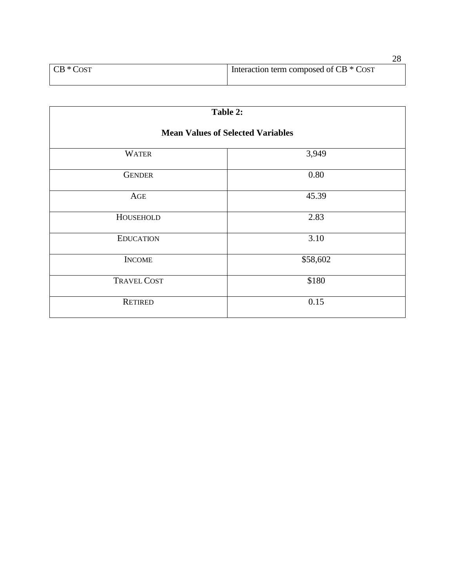| $CB * Cost$ | Interaction term composed of CB * COST |
|-------------|----------------------------------------|
|             |                                        |

| `able |  |
|-------|--|
|-------|--|

# **Mean Values of Selected Variables**

| <b>WATER</b>       | 3,949    |
|--------------------|----------|
| <b>GENDER</b>      | 0.80     |
| AGE                | 45.39    |
| HOUSEHOLD          | 2.83     |
| <b>EDUCATION</b>   | 3.10     |
| <b>INCOME</b>      | \$58,602 |
| <b>TRAVEL COST</b> | \$180    |
| <b>RETIRED</b>     | 0.15     |

28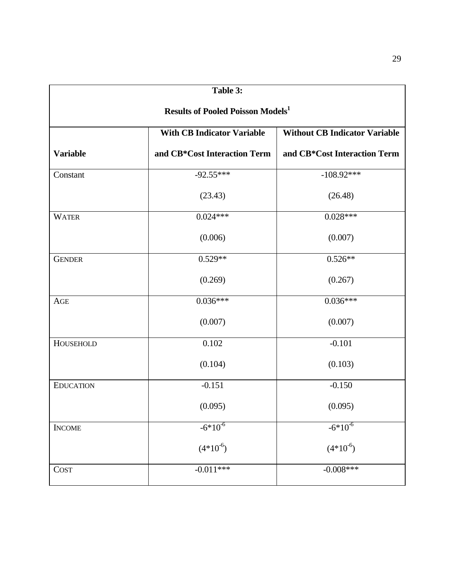| Table 3:                                            |                                   |                                      |  |
|-----------------------------------------------------|-----------------------------------|--------------------------------------|--|
| <b>Results of Pooled Poisson Models<sup>1</sup></b> |                                   |                                      |  |
|                                                     | <b>With CB Indicator Variable</b> | <b>Without CB Indicator Variable</b> |  |
| <b>Variable</b>                                     | and CB*Cost Interaction Term      | and CB*Cost Interaction Term         |  |
| Constant                                            | $-92.55***$                       | $-108.92***$                         |  |
|                                                     | (23.43)                           | (26.48)                              |  |
| <b>WATER</b>                                        | $0.024***$                        | $0.028***$                           |  |
|                                                     | (0.006)                           | (0.007)                              |  |
| <b>GENDER</b>                                       | $0.529**$                         | $0.526**$                            |  |
|                                                     | (0.269)                           | (0.267)                              |  |
| AGE                                                 | $0.036***$                        | $0.036***$                           |  |
|                                                     | (0.007)                           | (0.007)                              |  |
| HOUSEHOLD                                           | 0.102                             | $-0.101$                             |  |
|                                                     | (0.104)                           | (0.103)                              |  |
| <b>EDUCATION</b>                                    | $-0.151$                          | $-0.150$                             |  |
|                                                     | (0.095)                           | (0.095)                              |  |
| <b>INCOME</b>                                       | $-6*10^{-6}$                      | $-6*10^{-6}$                         |  |
|                                                     | $(4*10^6)$                        | $(4*10^6)$                           |  |
| <b>COST</b>                                         | $-0.011***$                       | $-0.008***$                          |  |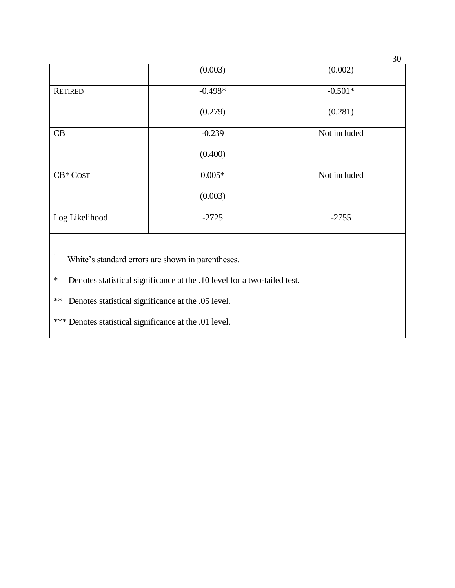|                |           | - -          |
|----------------|-----------|--------------|
|                | (0.003)   | (0.002)      |
| <b>RETIRED</b> | $-0.498*$ | $-0.501*$    |
|                | (0.279)   | (0.281)      |
| CB             | $-0.239$  | Not included |
|                | (0.400)   |              |
| $CB*COST$      | $0.005*$  | Not included |
|                | (0.003)   |              |
| Log Likelihood | $-2725$   | $-2755$      |
|                |           |              |

<sup>1</sup> White's standard errors are shown in parentheses.

\* Denotes statistical significance at the .10 level for a two-tailed test.

\*\* Denotes statistical significance at the .05 level.

\*\*\* Denotes statistical significance at the .01 level.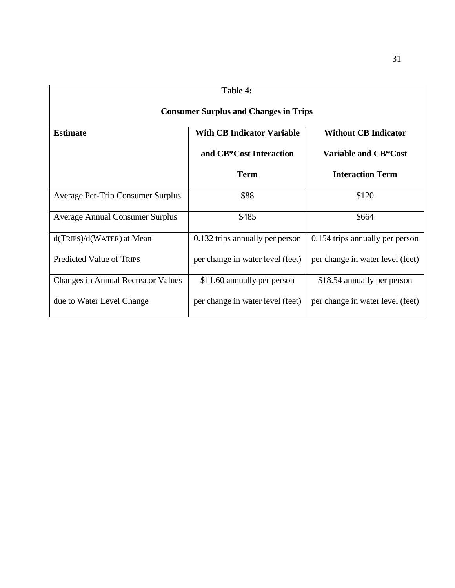| Table 4:                                                                            |                                  |                                  |  |
|-------------------------------------------------------------------------------------|----------------------------------|----------------------------------|--|
| <b>Consumer Surplus and Changes in Trips</b>                                        |                                  |                                  |  |
| <b>With CB Indicator Variable</b><br><b>Without CB Indicator</b><br><b>Estimate</b> |                                  |                                  |  |
|                                                                                     | and CB*Cost Interaction          | <b>Variable and CB*Cost</b>      |  |
|                                                                                     | <b>Term</b>                      | <b>Interaction Term</b>          |  |
| <b>Average Per-Trip Consumer Surplus</b>                                            | \$88                             | \$120                            |  |
| <b>Average Annual Consumer Surplus</b>                                              | \$485                            | \$664                            |  |
| $d(TRIPS)/d(WATER)$ at Mean                                                         | 0.132 trips annually per person  | 0.154 trips annually per person  |  |
| <b>Predicted Value of TRIPS</b>                                                     | per change in water level (feet) | per change in water level (feet) |  |
| <b>Changes in Annual Recreator Values</b>                                           | \$11.60 annually per person      | \$18.54 annually per person      |  |
| due to Water Level Change                                                           | per change in water level (feet) | per change in water level (feet) |  |